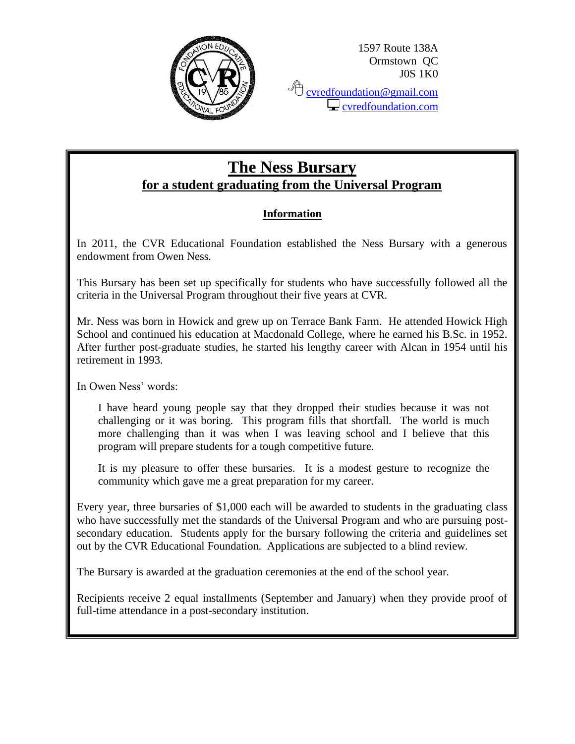

**C** cvred<u>foundation@gmail.com</u> **C** [cvredfoundation.com](http://www.cvredfoundation.com/)

# **The Ness Bursary for a student graduating from the Universal Program**

## **Information**

In 2011, the CVR Educational Foundation established the Ness Bursary with a generous endowment from Owen Ness.

This Bursary has been set up specifically for students who have successfully followed all the criteria in the Universal Program throughout their five years at CVR.

Mr. Ness was born in Howick and grew up on Terrace Bank Farm. He attended Howick High School and continued his education at Macdonald College, where he earned his B.Sc. in 1952. After further post-graduate studies, he started his lengthy career with Alcan in 1954 until his retirement in 1993.

In Owen Ness' words:

I have heard young people say that they dropped their studies because it was not challenging or it was boring. This program fills that shortfall. The world is much more challenging than it was when I was leaving school and I believe that this program will prepare students for a tough competitive future.

It is my pleasure to offer these bursaries. It is a modest gesture to recognize the community which gave me a great preparation for my career.

Every year, three bursaries of \$1,000 each will be awarded to students in the graduating class who have successfully met the standards of the Universal Program and who are pursuing postsecondary education. Students apply for the bursary following the criteria and guidelines set out by the CVR Educational Foundation. Applications are subjected to a blind review.

The Bursary is awarded at the graduation ceremonies at the end of the school year.

Recipients receive 2 equal installments (September and January) when they provide proof of full-time attendance in a post-secondary institution.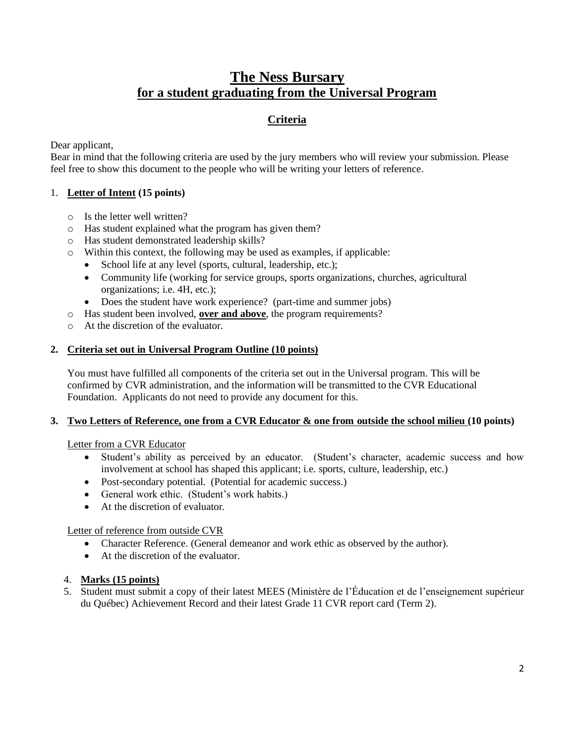## **The Ness Bursary for a student graduating from the Universal Program**

### **Criteria**

Dear applicant,

Bear in mind that the following criteria are used by the jury members who will review your submission. Please feel free to show this document to the people who will be writing your letters of reference.

#### 1. **Letter of Intent (15 points)**

- o Is the letter well written?
- o Has student explained what the program has given them?
- o Has student demonstrated leadership skills?
- o Within this context, the following may be used as examples, if applicable:
	- School life at any level (sports, cultural, leadership, etc.);
	- Community life (working for service groups, sports organizations, churches, agricultural organizations; i.e. 4H, etc.);
	- Does the student have work experience? (part-time and summer jobs)
- o Has student been involved, **over and above**, the program requirements?
- o At the discretion of the evaluator.

#### **2. Criteria set out in Universal Program Outline (10 points)**

You must have fulfilled all components of the criteria set out in the Universal program. This will be confirmed by CVR administration, and the information will be transmitted to the CVR Educational Foundation. Applicants do not need to provide any document for this.

#### **3. Two Letters of Reference, one from a CVR Educator & one from outside the school milieu (10 points)**

Letter from a CVR Educator

- Student's ability as perceived by an educator. (Student's character, academic success and how involvement at school has shaped this applicant; i.e. sports, culture, leadership, etc.)
- Post-secondary potential. (Potential for academic success.)
- General work ethic. (Student's work habits.)
- At the discretion of evaluator

Letter of reference from outside CVR

- Character Reference. (General demeanor and work ethic as observed by the author).
- At the discretion of the evaluator.

#### 4. **Marks (15 points)**

5. Student must submit a copy of their latest MEES (Ministère de l'Éducation et de l'enseignement supérieur du Québec) Achievement Record and their latest Grade 11 CVR report card (Term 2).